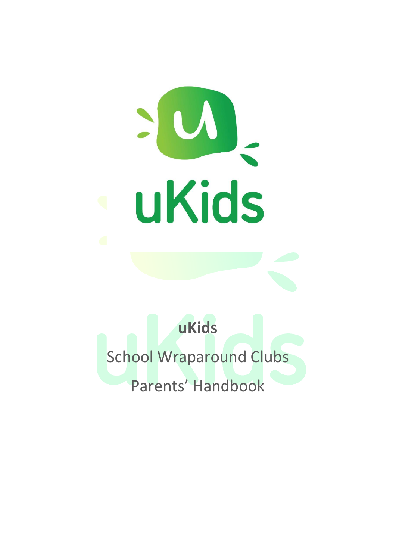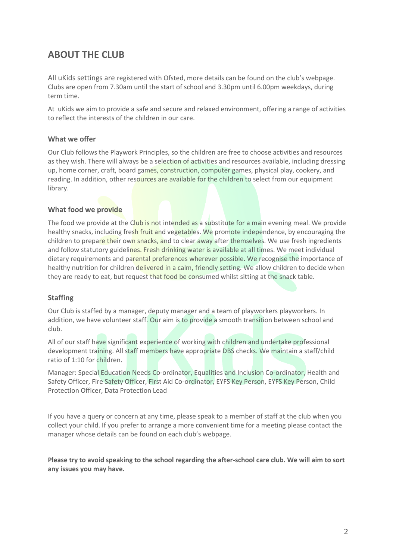# **ABOUT THE CLUB**

All uKids settings are registered with Ofsted, more details can be found on the club's webpage. Clubs are open from 7.30am until the start of school and 3.30pm until 6.00pm weekdays, during term time.

At uKids we aim to provide a safe and secure and relaxed environment, offering a range of activities to reflect the interests of the children in our care.

### **What we offer**

Our Club follows the Playwork Principles, so the children are free to choose activities and resources as they wish. There will always be a selection of activities and resources available, including dressing up, home corner, craft, board games, construction, computer games, physical play, cookery, and reading. In addition, other resources are available for the children to select from our equipment library.

#### **What food we provide**

The food we provide at the Club is not intended as a substitute for a main evening meal. We provide healthy snacks, including fresh fruit and vegetables. We promote independence, by encouraging the children to prepare their own snacks, and to clear away after themselves. We use fresh ingredients and follow statutory guidelines. Fresh drinking water is available at all times. We meet individual dietary requirements and parental preferences wherever possible. We recognise the importance of healthy nutrition for children delivered in a calm, friendly setting. We allow children to decide when they are ready to eat, but request that food be consumed whilst sitting at the snack table.

### **Staffing**

Our Club is staffed by a manager, deputy manager and a team of playworkers playworkers. In addition, we have volunteer staff. Our aim is to provide a smooth transition between school and club.

All of our staff have significant experience of working with children and undertake professional development training. All staff members have appropriate DBS checks. We maintain a staff/child ratio of 1:10 for children.

Manager: Special Education Needs Co-ordinator, Equalities and Inclusion Co-ordinator, Health and Safety Officer, Fire Safety Officer, First Aid Co-ordinator, EYFS Key Person, EYFS Key Person, Child Protection Officer, Data Protection Lead

If you have a query or concern at any time, please speak to a member of staff at the club when you collect your child. If you prefer to arrange a more convenient time for a meeting please contact the manager whose details can be found on each club's webpage.

**Please try to avoid speaking to the school regarding the after-school care club. We will aim to sort any issues you may have.**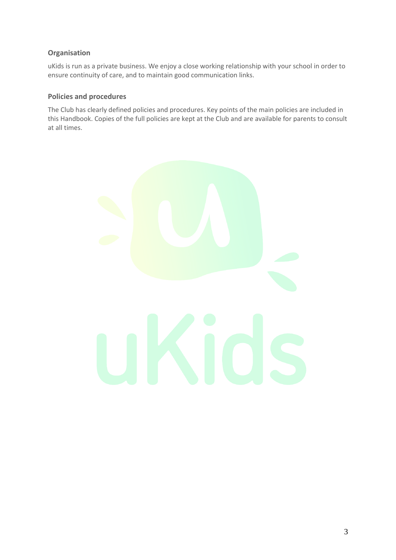# **Organisation**

uKids is run as a private business. We enjoy a close working relationship with your school in order to ensure continuity of care, and to maintain good communication links.

## **Policies and procedures**

The Club has clearly defined policies and procedures. Key points of the main policies are included in this Handbook. Copies of the full policies are kept at the Club and are available for parents to consult at all times.

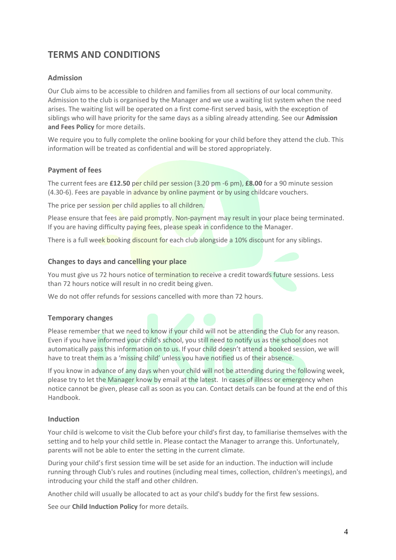# **TERMS AND CONDITIONS**

### **Admission**

Our Club aims to be accessible to children and families from all sections of our local community. Admission to the club is organised by the Manager and we use a waiting list system when the need arises. The waiting list will be operated on a first come-first served basis, with the exception of siblings who will have priority for the same days as a sibling already attending. See our **Admission and Fees Policy** for more details.

We require you to fully complete the online booking for your child before they attend the club. This information will be treated as confidential and will be stored appropriately.

#### **Payment of fees**

The current fees are **£12.50** per child per session (3.20 pm -6 pm), **£8.00** for a 90 minute session (4.30-6). Fees are payable in advance by online payment or by using childcare vouchers.

The price per session per child applies to all children.

Please ensure that fees are paid promptly. Non-payment may result in your place being terminated. If you are having difficulty paying fees, please speak in confidence to the Manager.

There is a full week booking discount for each club alongside a 10% discount for any siblings.

#### **Changes to days and cancelling your place**

You must give us 72 hours notice of termination to receive a credit towards future sessions. Less than 72 hours notice will result in no credit being given.

We do not offer refunds for sessions cancelled with more than 72 hours.

#### **Temporary changes**

Please remember that we need to know if your child will not be attending the Club for any reason. Even if you have informed your child's school, you still need to notify us as the school does not automatically pass this information on to us. If your child doesn't attend a booked session, we will have to treat them as a 'missing child' unless you have notified us of their absence.

If you know in advance of any days when your child will not be attending during the following week, please try to let the Manager know by email at the latest. In cases of illness or emergency when notice cannot be given, please call as soon as you can. Contact details can be found at the end of this Handbook.

#### **Induction**

Your child is welcome to visit the Club before your child's first day, to familiarise themselves with the setting and to help your child settle in. Please contact the Manager to arrange this. Unfortunately, parents will not be able to enter the setting in the current climate.

During your child's first session time will be set aside for an induction. The induction will include running through Club's rules and routines (including meal times, collection, children's meetings), and introducing your child the staff and other children.

Another child will usually be allocated to act as your child's buddy for the first few sessions.

See our **Child Induction Policy** for more details.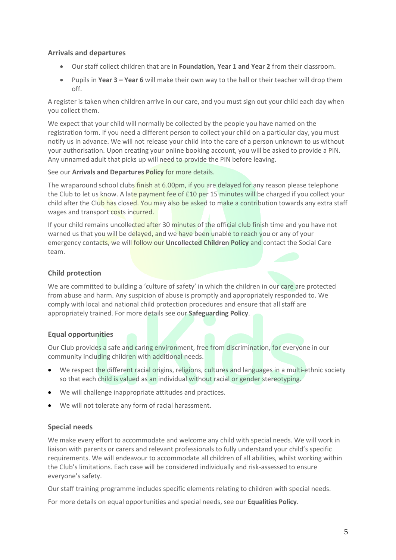## **Arrivals and departures**

- Our staff collect children that are in **Foundation, Year 1 and Year 2** from their classroom.
- Pupils in **Year 3 – Year 6** will make their own way to the hall or their teacher will drop them off.

A register is taken when children arrive in our care, and you must sign out your child each day when you collect them.

We expect that your child will normally be collected by the people you have named on the registration form. If you need a different person to collect your child on a particular day, you must notify us in advance. We will not release your child into the care of a person unknown to us without your authorisation. Upon creating your online booking account, you will be asked to provide a PIN. Any unnamed adult that picks up will need to provide the PIN before leaving.

See our **Arrivals and Departures Policy** for more details.

The wraparound school clubs finish at 6.00pm, if you are delayed for any reason please telephone the Club to let us know. A late payment fee of £10 per 15 minutes will be charged if you collect your child after the Club has closed. You may also be asked to make a contribution towards any extra staff wages and transport costs incurred.

If your child remains uncollected after 30 minutes of the official club finish time and you have not warned us that you will be delayed, and we have been unable to reach you or any of your emergency contacts, we will follow our **Uncollected Children Policy** and contact the Social Care team.

## **Child protection**

We are committed to building a 'culture of safety' in which the children in our care are protected from abuse and harm. Any suspicion of abuse is promptly and appropriately responded to. We comply with local and national child protection procedures and ensure that all staff are appropriately trained. For more details see our **Safeguarding Policy**.

### **Equal opportunities**

Our Club provides a safe and caring environment, free from discrimination, for everyone in our community including children with additional needs.

- We respect the different racial origins, religions, cultures and languages in a multi-ethnic society so that each child is valued as an individual without racial or gender stereotyping.
- We will challenge inappropriate attitudes and practices.
- We will not tolerate any form of racial harassment.

## **Special needs**

We make every effort to accommodate and welcome any child with special needs. We will work in liaison with parents or carers and relevant professionals to fully understand your child's specific requirements. We will endeavour to accommodate all children of all abilities, whilst working within the Club's limitations. Each case will be considered individually and risk-assessed to ensure everyone's safety.

Our staff training programme includes specific elements relating to children with special needs.

For more details on equal opportunities and special needs, see our **Equalities Policy**.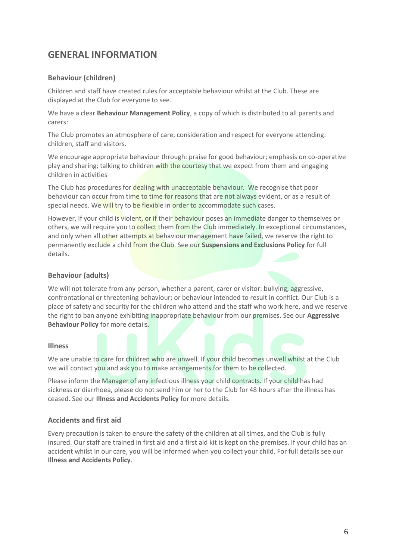# **GENERAL INFORMATION**

### **Behaviour (children)**

Children and staff have created rules for acceptable behaviour whilst at the Club. These are displayed at the Club for everyone to see.

We have a clear **Behaviour Management Policy**, a copy of which is distributed to all parents and carers:

The Club promotes an atmosphere of care, consideration and respect for everyone attending: children, staff and visitors.

We encourage appropriate behaviour through: praise for good behaviour; emphasis on co-operative play and sharing; talking to children with the courtesy that we expect from them and engaging children in activities

The Club has procedures for dealing with unacceptable behaviour. We recognise that poor behaviour can occur from time to time for reasons that are not always evident, or as a result of special needs. We will try to be flexible in order to accommodate such cases.

However, if your child is violent, or if their behaviour poses an immediate danger to themselves or others, we will require you to collect them from the Club immediately. In exceptional circumstances, and only when all other attempts at behaviour management have failed, we reserve the right to permanently exclude a child from the Club. See our **Suspensions and Exclusions Policy** for full details.

## **Behaviour (adults)**

We will not tolerate from any person, whether a parent, carer or visitor: bullying; aggressive, confrontational or threatening behaviour; or behaviour intended to result in conflict. Our Club is a place of safety and security for the children who attend and the staff who work here, and we reserve the right to ban anyone exhibiting inappropriate behaviour from our premises. See our **Aggressive Behaviour Policy** for more details.

### **Illness**

We are unable to care for children who are unwell. If your child becomes unwell whilst at the Club we will contact you and ask you to make arrangements for them to be collected.

Please inform the Manager of any infectious illness your child contracts. If your child has had sickness or diarrhoea, please do not send him or her to the Club for 48 hours after the illness has ceased. See our **Illness and Accidents Policy** for more details.

### **Accidents and first aid**

Every precaution is taken to ensure the safety of the children at all times, and the Club is fully insured. Our staff are trained in first aid and a first aid kit is kept on the premises. If your child has an accident whilst in our care, you will be informed when you collect your child. For full details see our **Illness and Accidents Policy**.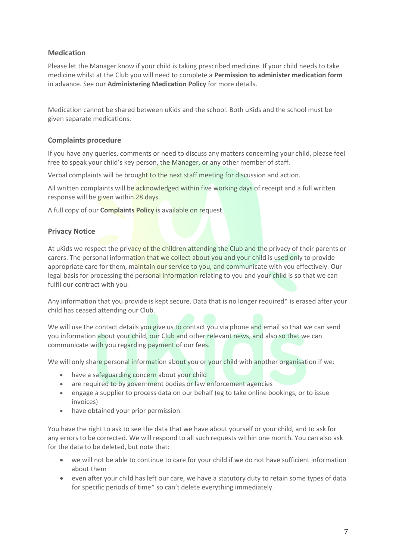## **Medication**

Please let the Manager know if your child is taking prescribed medicine. If your child needs to take medicine whilst at the Club you will need to complete a **Permission to administer medication form** in advance. See our **Administering Medication Policy** for more details.

Medication cannot be shared between uKids and the school. Both uKids and the school must be given separate medications.

### **Complaints procedure**

If you have any queries, comments or need to discuss any matters concerning your child, please feel free to speak your child's key person, the Manager, or any other member of staff.

Verbal complaints will be brought to the next staff meeting for discussion and action.

All written complaints will be acknowledged within five working days of receipt and a full written response will be given within 28 days.

A full copy of our **Complaints Policy** is available on request.

#### **Privacy Notice**

At uKids we respect the privacy of the children attending the Club and the privacy of their parents or carers. The personal information that we collect about you and your child is used only to provide appropriate care for them, maintain our service to you, and communicate with you effectively. Our legal basis for processing the personal information relating to you and your child is so that we can fulfil our contract with you.

Any information that you provide is kept secure. Data that is no longer required\* is erased after your child has ceased attending our Club.

We will use the contact details you give us to contact you via phone and email so that we can send you information about your child, our Club and other relevant news, and also so that we can communicate with you regarding payment of our fees.

We will only share personal information about you or your child with another organisation if we:

- have a safeguarding concern about your child
- are required to by government bodies or law enforcement agencies
- engage a supplier to process data on our behalf (eg to take online bookings, or to issue invoices)
- have obtained your prior permission.

You have the right to ask to see the data that we have about yourself or your child, and to ask for any errors to be corrected. We will respond to all such requests within one month. You can also ask for the data to be deleted, but note that:

- we will not be able to continue to care for your child if we do not have sufficient information about them
- even after your child has left our care, we have a statutory duty to retain some types of data for specific periods of time\* so can't delete everything immediately.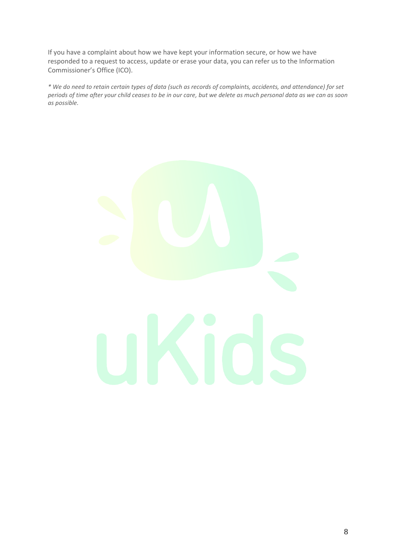If you have a complaint about how we have kept your information secure, or how we have responded to a request to access, update or erase your data, you can refer us to the Information Commissioner's Office (ICO).

*\* We do need to retain certain types of data (such as records of complaints, accidents, and attendance) for set periods of time after your child ceases to be in our care, but we delete as much personal data as we can as soon as possible.* 

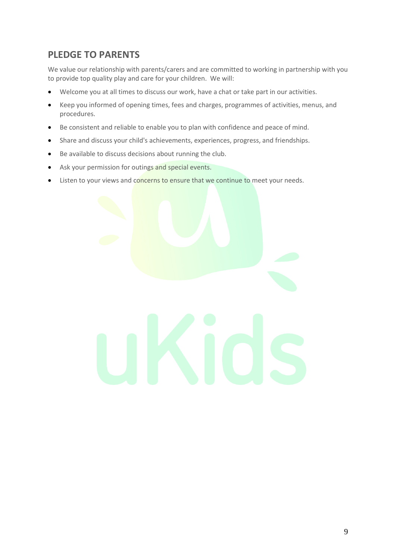# **PLEDGE TO PARENTS**

We value our relationship with parents/carers and are committed to working in partnership with you to provide top quality play and care for your children. We will:

- Welcome you at all times to discuss our work, have a chat or take part in our activities.
- Keep you informed of opening times, fees and charges, programmes of activities, menus, and procedures.
- Be consistent and reliable to enable you to plan with confidence and peace of mind.
- Share and discuss your child's achievements, experiences, progress, and friendships.
- Be available to discuss decisions about running the club.
- Ask your permission for outings and special events.
- Listen to your views and concerns to ensure that we continue to meet your needs.